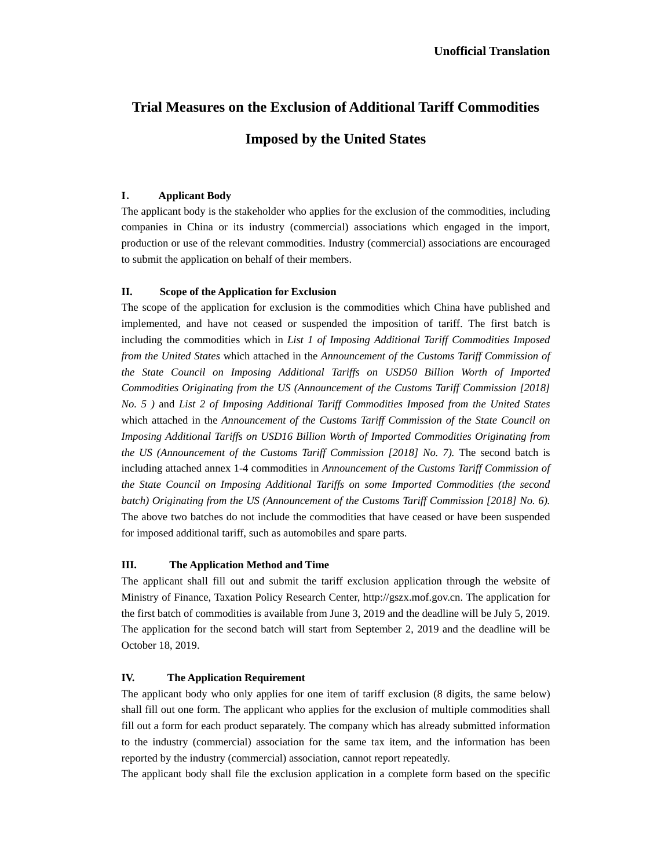# **Trial Measures on the Exclusion of Additional Tariff Commodities**

## **Imposed by the United States**

### **I**. **Applicant Body**

The applicant body is the stakeholder who applies for the exclusion of the commodities, including companies in China or its industry (commercial) associations which engaged in the import, production or use of the relevant commodities. Industry (commercial) associations are encouraged to submit the application on behalf of their members.

#### **II. Scope of the Application for Exclusion**

The scope of the application for exclusion is the commodities which China have published and implemented, and have not ceased or suspended the imposition of tariff. The first batch is including the commodities which in *List 1 of Imposing Additional Tariff Commodities Imposed from the United States* which attached in the *Announcement of the Customs Tariff Commission of the State Council on Imposing Additional Tariffs on USD50 Billion Worth of Imported Commodities Originating from the US (Announcement of the Customs Tariff Commission [2018] No. 5 )* and *List 2 of Imposing Additional Tariff Commodities Imposed from the United States* which attached in the *Announcement of the Customs Tariff Commission of the State Council on Imposing Additional Tariffs on USD16 Billion Worth of Imported Commodities Originating from the US (Announcement of the Customs Tariff Commission [2018] No. 7).* The second batch is including attached annex 1-4 commodities in *Announcement of the Customs Tariff Commission of the State Council on Imposing Additional Tariffs on some Imported Commodities (the second*  batch) Originating from the US (Announcement of the Customs Tariff Commission [2018] No. 6). The above two batches do not include the commodities that have ceased or have been suspended for imposed additional tariff, such as automobiles and spare parts.

#### **III. The Application Method and Time**

The applicant shall fill out and submit the tariff exclusion application through the website of Ministry of Finance, Taxation Policy Research Center, http://gszx.mof.gov.cn. The application for the first batch of commodities is available from June 3, 2019 and the deadline will be July 5, 2019. The application for the second batch will start from September 2, 2019 and the deadline will be October 18, 2019.

#### **IV. The Application Requirement**

The applicant body who only applies for one item of tariff exclusion (8 digits, the same below) shall fill out one form. The applicant who applies for the exclusion of multiple commodities shall fill out a form for each product separately. The company which has already submitted information to the industry (commercial) association for the same tax item, and the information has been reported by the industry (commercial) association, cannot report repeatedly.

The applicant body shall file the exclusion application in a complete form based on the specific